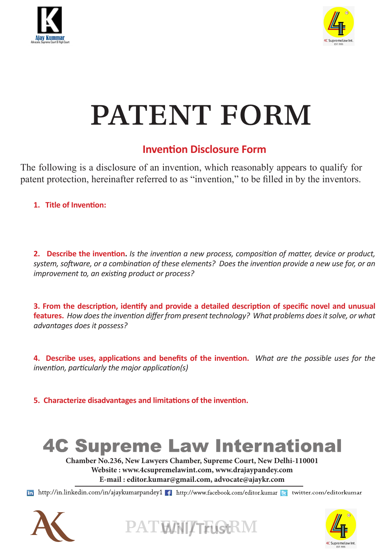



# PATENT FORM

### **Invention Disclosure Form**

The following is a disclosure of an invention, which reasonably appears to qualify for patent protection, hereinafter referred to as "invention," to be filled in by the inventors.

**1. Title of Invention:**

**2. Describe the invention.** *Is the invention a new process, composition of matter, device or product, system, software, or a combination of these elements? Does the invention provide a new use for, or an improvement to, an existing product or process?*

**3. From the description, identify and provide a detailed description of specific novel and unusual features.** *How does the invention differ from present technology? What problems does it solve, or what advantages does it possess?*

**4. Describe uses, applications and benefits of the invention.** *What are the possible uses for the invention, particularly the major application(s)*

**5. Characterize disadvantages and limitations of the invention.** 

## **4C Supreme Law International**

**Chamber No.236, New Lawyers Chamber, Supreme Court, New Delhi-110001 Website : www.4csupremelawint.com, www.drajaypandey.com E-mail : editor.kumar@gmail.com, advocate@ajaykr.com**

In http://in.linkedin.com/in/ajaykumarpandey1 1 http://www.facebook.com/editor.kumar B twitter.com/editorkumar





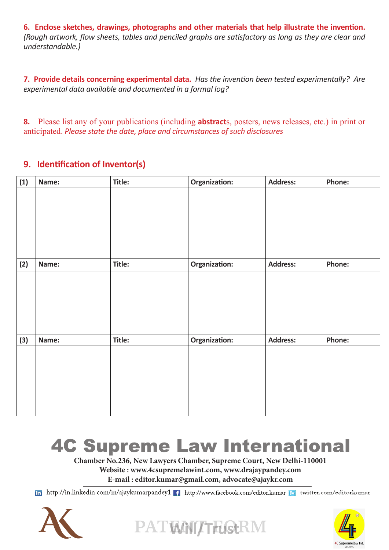**6. Enclose sketches, drawings, photographs and other materials that help illustrate the invention.** *(Rough artwork, flow sheets, tables and penciled graphs are satisfactory as long as they are clear and understandable.)*

**7. Provide details concerning experimental data.** *Has the invention been tested experimentally? Are experimental data available and documented in a formal log?* 

**8.** Please list any of your publications (including **abstract**s, posters, news releases, etc.) in print or anticipated. *Please state the date, place and circumstances of such disclosures*

#### **9. Identification of Inventor(s)**

| (1) | Name: | Title: | Organization: | <b>Address:</b> | Phone: |
|-----|-------|--------|---------------|-----------------|--------|
|     |       |        |               |                 |        |
| (2) | Name: | Title: | Organization: | <b>Address:</b> | Phone: |
|     |       |        |               |                 |        |
| (3) | Name: | Title: | Organization: | <b>Address:</b> | Phone: |
|     |       |        |               |                 |        |

### **4C Supreme Law International**

**Chamber No.236, New Lawyers Chamber, Supreme Court, New Delhi-110001 Website : www.4csupremelawint.com, www.drajaypandey.com E-mail : editor.kumar@gmail.com, advocate@ajaykr.com**

In http://in.linkedin.com/in/ajaykumarpandey1 1 http://www.facebook.com/editor.kumar B twitter.com/editorkumar

PATWNIZTFUStRM